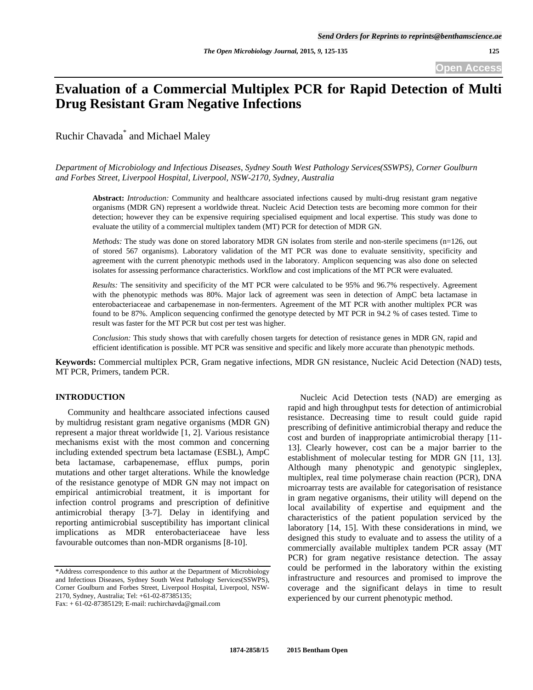**Open Access** 

# **Evaluation of a Commercial Multiplex PCR for Rapid Detection of Multi Drug Resistant Gram Negative Infections**

Ruchir Chavada<sup>\*</sup> and Michael Maley

*Department of Microbiology and Infectious Diseases, Sydney South West Pathology Services(SSWPS), Corner Goulburn and Forbes Street, Liverpool Hospital, Liverpool, NSW-2170, Sydney, Australia* 

**Abstract:** *Introduction:* Community and healthcare associated infections caused by multi-drug resistant gram negative organisms (MDR GN) represent a worldwide threat. Nucleic Acid Detection tests are becoming more common for their detection; however they can be expensive requiring specialised equipment and local expertise. This study was done to evaluate the utility of a commercial multiplex tandem (MT) PCR for detection of MDR GN.

*Methods:* The study was done on stored laboratory MDR GN isolates from sterile and non-sterile specimens (n=126, out of stored 567 organisms). Laboratory validation of the MT PCR was done to evaluate sensitivity, specificity and agreement with the current phenotypic methods used in the laboratory. Amplicon sequencing was also done on selected isolates for assessing performance characteristics. Workflow and cost implications of the MT PCR were evaluated.

*Results:* The sensitivity and specificity of the MT PCR were calculated to be 95% and 96.7% respectively. Agreement with the phenotypic methods was 80%. Major lack of agreement was seen in detection of AmpC beta lactamase in enterobacteriaceae and carbapenemase in non-fermenters. Agreement of the MT PCR with another multiplex PCR was found to be 87%. Amplicon sequencing confirmed the genotype detected by MT PCR in 94.2 % of cases tested. Time to result was faster for the MT PCR but cost per test was higher.

*Conclusion:* This study shows that with carefully chosen targets for detection of resistance genes in MDR GN, rapid and efficient identification is possible. MT PCR was sensitive and specific and likely more accurate than phenotypic methods.

**Keywords:** Commercial multiplex PCR, Gram negative infections, MDR GN resistance, Nucleic Acid Detection (NAD) tests, MT PCR, Primers, tandem PCR.

# **INTRODUCTION**

 Community and healthcare associated infections caused by multidrug resistant gram negative organisms (MDR GN) represent a major threat worldwide [1, 2]. Various resistance mechanisms exist with the most common and concerning including extended spectrum beta lactamase (ESBL), AmpC beta lactamase, carbapenemase, efflux pumps, porin mutations and other target alterations. While the knowledge of the resistance genotype of MDR GN may not impact on empirical antimicrobial treatment, it is important for infection control programs and prescription of definitive antimicrobial therapy [3-7]. Delay in identifying and reporting antimicrobial susceptibility has important clinical implications as MDR enterobacteriaceae have less favourable outcomes than non-MDR organisms [8-10].

 Nucleic Acid Detection tests (NAD) are emerging as rapid and high throughput tests for detection of antimicrobial resistance. Decreasing time to result could guide rapid prescribing of definitive antimicrobial therapy and reduce the cost and burden of inappropriate antimicrobial therapy [11- 13]. Clearly however, cost can be a major barrier to the establishment of molecular testing for MDR GN [11, 13]. Although many phenotypic and genotypic singleplex, multiplex, real time polymerase chain reaction (PCR), DNA microarray tests are available for categorisation of resistance in gram negative organisms, their utility will depend on the local availability of expertise and equipment and the characteristics of the patient population serviced by the laboratory [14, 15]. With these considerations in mind, we designed this study to evaluate and to assess the utility of a commercially available multiplex tandem PCR assay (MT PCR) for gram negative resistance detection. The assay could be performed in the laboratory within the existing infrastructure and resources and promised to improve the coverage and the significant delays in time to result experienced by our current phenotypic method.

<sup>\*</sup>Address correspondence to this author at the Department of Microbiology and Infectious Diseases, Sydney South West Pathology Services(SSWPS), Corner Goulburn and Forbes Street, Liverpool Hospital, Liverpool, NSW-2170, Sydney, Australia; Tel: +61-02-87385135;

Fax: + 61-02-87385129; E-mail: ruchirchavda@gmail.com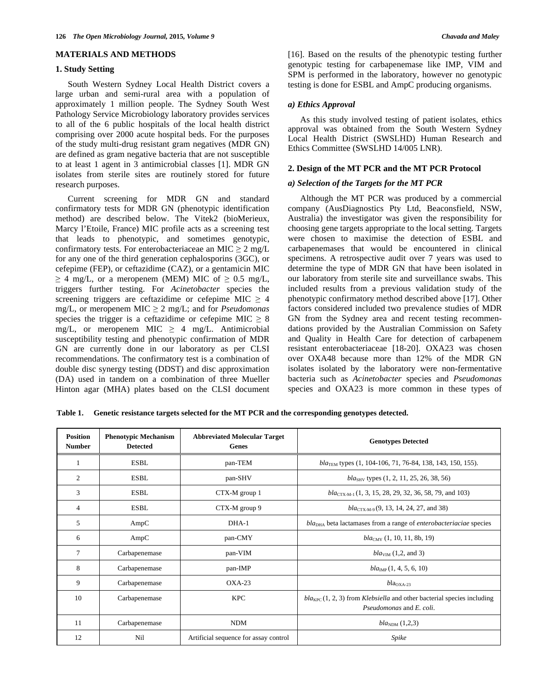#### **MATERIALS AND METHODS**

### **1. Study Setting**

 South Western Sydney Local Health District covers a large urban and semi-rural area with a population of approximately 1 million people. The Sydney South West Pathology Service Microbiology laboratory provides services to all of the 6 public hospitals of the local health district comprising over 2000 acute hospital beds. For the purposes of the study multi-drug resistant gram negatives (MDR GN) are defined as gram negative bacteria that are not susceptible to at least 1 agent in 3 antimicrobial classes [1]. MDR GN isolates from sterile sites are routinely stored for future research purposes.

 Current screening for MDR GN and standard confirmatory tests for MDR GN (phenotypic identification method) are described below. The Vitek2 (bioMerieux, Marcy l'Etoile, France) MIC profile acts as a screening test that leads to phenotypic, and sometimes genotypic, confirmatory tests. For enterobacteriaceae an MIC  $\geq 2$  mg/L for any one of the third generation cephalosporins (3GC), or cefepime (FEP), or ceftazidime (CAZ), or a gentamicin MIC  $\geq$  4 mg/L, or a meropenem (MEM) MIC of  $\geq$  0.5 mg/L, triggers further testing. For *Acinetobacter* species the screening triggers are ceftazidime or cefepime MIC  $\geq$  4 mg/L, or meropenem MIC  $\geq$  2 mg/L; and for *Pseudomonas* species the trigger is a ceftazidime or cefepime MIC  $\geq 8$ mg/L, or meropenem MIC  $\geq$  4 mg/L. Antimicrobial susceptibility testing and phenotypic confirmation of MDR GN are currently done in our laboratory as per CLSI recommendations. The confirmatory test is a combination of double disc synergy testing (DDST) and disc approximation (DA) used in tandem on a combination of three Mueller Hinton agar (MHA) plates based on the CLSI document

[16]. Based on the results of the phenotypic testing further genotypic testing for carbapenemase like IMP, VIM and SPM is performed in the laboratory, however no genotypic testing is done for ESBL and AmpC producing organisms.

#### *a) Ethics Approval*

 As this study involved testing of patient isolates, ethics approval was obtained from the South Western Sydney Local Health District (SWSLHD) Human Research and Ethics Committee (SWSLHD 14/005 LNR).

#### **2. Design of the MT PCR and the MT PCR Protocol**

#### *a) Selection of the Targets for the MT PCR*

 Although the MT PCR was produced by a commercial company (AusDiagnostics Pty Ltd, Beaconsfield, NSW, Australia) the investigator was given the responsibility for choosing gene targets appropriate to the local setting. Targets were chosen to maximise the detection of ESBL and carbapenemases that would be encountered in clinical specimens. A retrospective audit over 7 years was used to determine the type of MDR GN that have been isolated in our laboratory from sterile site and surveillance swabs. This included results from a previous validation study of the phenotypic confirmatory method described above [17]. Other factors considered included two prevalence studies of MDR GN from the Sydney area and recent testing recommendations provided by the Australian Commission on Safety and Quality in Health Care for detection of carbapenem resistant enterobacteriaceae [18-20]. OXA23 was chosen over OXA48 because more than 12% of the MDR GN isolates isolated by the laboratory were non-fermentative bacteria such as *Acinetobacter* species and *Pseudomonas* species and OXA23 is more common in these types of

**Table 1. Genetic resistance targets selected for the MT PCR and the corresponding genotypes detected.** 

| <b>Position</b><br><b>Number</b> | <b>Phenotypic Mechanism</b><br><b>Detected</b> | <b>Abbreviated Molecular Target</b><br>Genes | <b>Genotypes Detected</b>                                                                                                   |
|----------------------------------|------------------------------------------------|----------------------------------------------|-----------------------------------------------------------------------------------------------------------------------------|
| 1                                | <b>ESBL</b>                                    | pan-TEM                                      | $bla_{\text{TEM}}$ types (1, 104-106, 71, 76-84, 138, 143, 150, 155).                                                       |
| $\overline{2}$                   | <b>ESBL</b>                                    | pan-SHV                                      | $blaSHV$ types $(1, 2, 11, 25, 26, 38, 56)$                                                                                 |
| 3                                | <b>ESBL</b>                                    | CTX-M group 1                                | $bla_{\text{CTX-M-1}}(1, 3, 15, 28, 29, 32, 36, 58, 79, \text{ and } 103)$                                                  |
| 4                                | ESBL                                           | CTX-M group 9                                | $bla_{\text{CTX-M-9}}(9, 13, 14, 24, 27, \text{ and } 38)$                                                                  |
| 5                                | AmpC                                           | $DHA-1$                                      | $blaDHA$ beta lactamases from a range of <i>enterobacteriaciae</i> species                                                  |
| 6                                | AmpC                                           | pan-CMY                                      | $bla_{CMY}$ (1, 10, 11, 8b, 19)                                                                                             |
| $\tau$                           | Carbapenemase                                  | pan-VIM                                      | $blaVIM$ (1,2, and 3)                                                                                                       |
| 8                                | Carbapenemase                                  | pan-IMP                                      | $bla_{\text{IMP}}(1, 4, 5, 6, 10)$                                                                                          |
| 9                                | Carbapenemase                                  | $OXA-23$                                     | $b$ la <sub>OXA-23</sub>                                                                                                    |
| 10                               | Carbapenemase                                  | <b>KPC</b>                                   | $bla_{KPC}(1, 2, 3)$ from <i>Klebsiella</i> and other bacterial species including<br><i>Pseudomonas</i> and <i>E. coli.</i> |
| 11                               | Carbapenemase                                  | <b>NDM</b>                                   | $bla_{NDM}(1,2,3)$                                                                                                          |
| 12                               | Nil                                            | Artificial sequence for assay control        | Spike                                                                                                                       |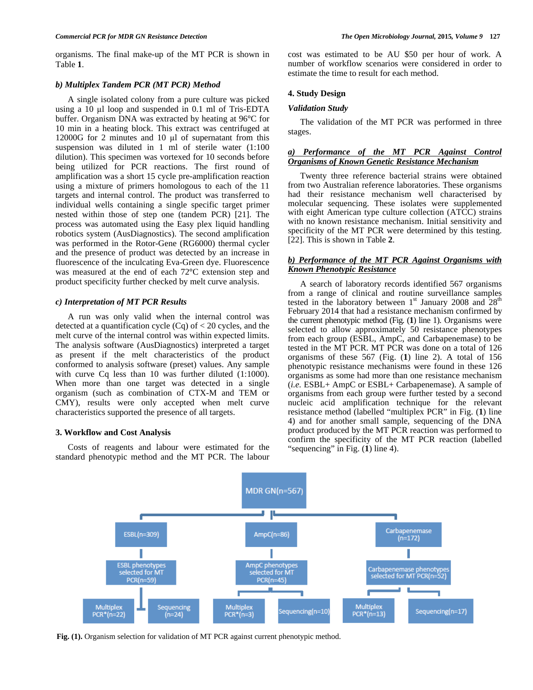#### *b) Multiplex Tandem PCR (MT PCR) Method*

 A single isolated colony from a pure culture was picked using a 10  $\mu$ l loop and suspended in 0.1 ml of Tris-EDTA buffer. Organism DNA was extracted by heating at 96°C for 10 min in a heating block. This extract was centrifuged at 12000G for 2 minutes and 10  $\mu$ l of supernatant from this suspension was diluted in 1 ml of sterile water  $(1:100)$ dilution). This specimen was vortexed for 10 seconds before being utilized for PCR reactions. The first round of amplification was a short 15 cycle pre-amplification reaction using a mixture of primers homologous to each of the 11 targets and internal control. The product was transferred to individual wells containing a single specific target primer nested within those of step one (tandem PCR) [21]. The process was automated using the Easy plex liquid handling robotics system (AusDiagnostics). The second amplification was performed in the Rotor-Gene (RG6000) thermal cycler and the presence of product was detected by an increase in fluorescence of the inculcating Eva-Green dye. Fluorescence was measured at the end of each 72°C extension step and product specificity further checked by melt curve analysis.

# *c) Interpretation of MT PCR Results*

 A run was only valid when the internal control was detected at a quantification cycle  $(Cq)$  of  $<$  20 cycles, and the melt curve of the internal control was within expected limits. The analysis software (AusDiagnostics) interpreted a target as present if the melt characteristics of the product conformed to analysis software (preset) values. Any sample with curve Cq less than 10 was further diluted (1:1000). When more than one target was detected in a single organism (such as combination of CTX-M and TEM or CMY), results were only accepted when melt curve characteristics supported the presence of all targets.

#### **3. Workflow and Cost Analysis**

 Costs of reagents and labour were estimated for the standard phenotypic method and the MT PCR. The labour

cost was estimated to be AU \$50 per hour of work. A number of workflow scenarios were considered in order to estimate the time to result for each method.

#### **4. Study Design**

#### *Validation Study*

 The validation of the MT PCR was performed in three stages.

## *a) Performance of the MT PCR Against Control Organisms of Known Genetic Resistance Mechanism*

 Twenty three reference bacterial strains were obtained from two Australian reference laboratories. These organisms had their resistance mechanism well characterised by molecular sequencing. These isolates were supplemented with eight American type culture collection (ATCC) strains with no known resistance mechanism. Initial sensitivity and specificity of the MT PCR were determined by this testing. [22]. This is shown in Table **2**.

# *b) Performance of the MT PCR Against Organisms with Known Phenotypic Resistance*

 A search of laboratory records identified 567 organisms from a range of clinical and routine surveillance samples tested in the laboratory between  $1<sup>st</sup>$  January 2008 and  $28<sup>th</sup>$ February 2014 that had a resistance mechanism confirmed by the current phenotypic method (Fig. (**1**) line 1). Organisms were selected to allow approximately 50 resistance phenotypes from each group (ESBL, AmpC, and Carbapenemase) to be tested in the MT PCR. MT PCR was done on a total of 126 organisms of these 567 (Fig. (**1**) line 2). A total of 156 phenotypic resistance mechanisms were found in these 126 organisms as some had more than one resistance mechanism (*i.e.* ESBL+ AmpC or ESBL+ Carbapenemase). A sample of organisms from each group were further tested by a second nucleic acid amplification technique for the relevant resistance method (labelled "multiplex PCR" in Fig. (**1**) line 4) and for another small sample, sequencing of the DNA product produced by the MT PCR reaction was performed to confirm the specificity of the MT PCR reaction (labelled "sequencing" in Fig. (**1**) line 4).



**Fig. (1).** Organism selection for validation of MT PCR against current phenotypic method.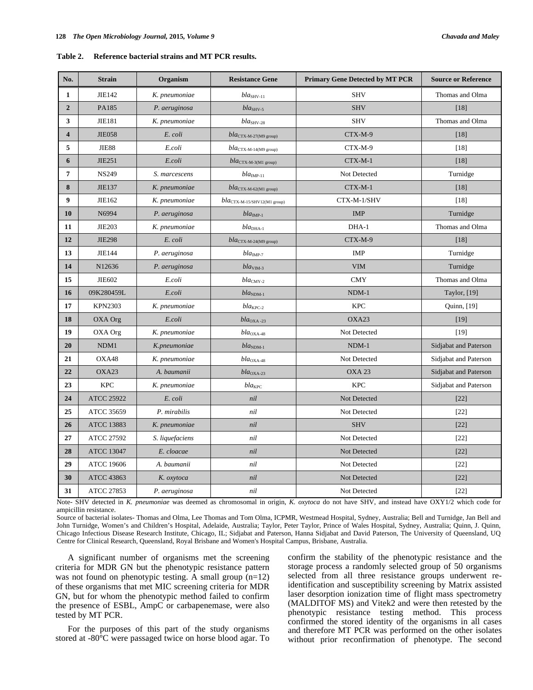| Table 2. | Reference bacterial strains and MT PCR results. |
|----------|-------------------------------------------------|
|          |                                                 |

| No.                     | <b>Strain</b>     | Organism        | <b>Resistance Gene</b>                                 | <b>Primary Gene Detected by MT PCR</b> | <b>Source or Reference</b> |
|-------------------------|-------------------|-----------------|--------------------------------------------------------|----------------------------------------|----------------------------|
| $\mathbf{1}$            | JIE142            | K. pneumoniae   | $blaSHV-11$                                            | <b>SHV</b>                             | Thomas and Olma            |
| $\overline{2}$          | PA185             | P. aeruginosa   | $bla_{SHV-5}$                                          | <b>SHV</b>                             | [18]                       |
| 3                       | JIE181            | K. pneumoniae   | $blaSHV-28$                                            | <b>SHV</b>                             | Thomas and Olma            |
| $\overline{\mathbf{4}}$ | <b>JIE058</b>     | E. coli         | $bla_{\text{CTX-M-27(M9 group)}}$                      | CTX-M-9                                | [18]                       |
| 5                       | <b>JIE88</b>      | E.coli          | $bla_{\rm CTX\text{-}M\text{-}14(M9\text{ group})}$    | CTX-M-9                                | [18]                       |
| 6                       | JIE251            | E.coli          | $bla_{\text{CTX-M-3(M1 group)}}$                       | CTX-M-1                                | [18]                       |
| 7                       | <b>NS249</b>      | S. marcescens   | $bla_{\text{IMP-11}}$                                  | Not Detected                           | Turnidge                   |
| 8                       | JIE137            | K. pneumoniae   | $bla_{\rm CTX\text{-}M\text{-}62(M1\text{ group})}$    | $CTX-M-1$                              | $[18]$                     |
| 9                       | JIE162            | K. pneumoniae   | $bla_{\rm CTX\text{-}M\text{-}15/SHV12(M1\,\, group)}$ | CTX-M-1/SHV                            | [18]                       |
| 10                      | N6994             | P. aeruginosa   | $bla_{\text{IMP-1}}$                                   | <b>IMP</b>                             | Turnidge                   |
| 11                      | JIE203            | K. pneumoniae   | $blaDHA-1$                                             | DHA-1                                  | Thomas and Olma            |
| 12                      | <b>JIE298</b>     | E. coli         | $bla_{\rm CTX\text{-}M\text{-}24(M9\text{ group})}$    | CTX-M-9                                | $[18]$                     |
| 13                      | JIE144            | P. aeruginosa   | $blaIMP-7$                                             | <b>IMP</b>                             | Turnidge                   |
| 14                      | N12636            | P. aeruginosa   | $bla$ <sub>VIM-3</sub>                                 | <b>VIM</b>                             | Turnidge                   |
| 15                      | JIE602            | E.coli          | $bla_{CMY-2}$                                          | <b>CMY</b>                             | Thomas and Olma            |
| 16                      | 09K280459L        | E.coli          | $bla_{NDM-1}$                                          | $NDM-1$                                | Taylor, [19]               |
| 17                      | <b>KPN2303</b>    | K. pneumoniae   | $bla_{KPC-2}$                                          | <b>KPC</b>                             | Quinn, [19]                |
| 18                      | OXA Org           | E.coli          | $bla_{\rm OXA-23}$                                     | OXA23                                  | $[19]$                     |
| 19                      | OXA Org           | K. pneumoniae   | $bla_{\rm OXA-48}$                                     | Not Detected                           | $[19]$                     |
| 20                      | NDM1              | K.pneumoniae    | $bla_{NDM-1}$                                          | $NDM-1$                                | Sidjabat and Paterson      |
| 21                      | OXA48             | K. pneumoniae   | $bla_{\rm OXA-48}$                                     | Not Detected                           | Sidjabat and Paterson      |
| 22                      | OXA23             | A. baumanii     | $bla_{\rm OXA-23}$                                     | OXA <sub>23</sub>                      | Sidjabat and Paterson      |
| 23                      | <b>KPC</b>        | K. pneumoniae   | $bla_{KPC}$                                            | <b>KPC</b>                             | Sidjabat and Paterson      |
| 24                      | <b>ATCC 25922</b> | E. coli         | nil                                                    | Not Detected                           | $[22]$                     |
| 25                      | ATCC 35659        | P. mirabilis    | nil                                                    | Not Detected                           | $[22]$                     |
| 26                      | <b>ATCC 13883</b> | K. pneumoniae   | nil                                                    | <b>SHV</b>                             | $[22]$                     |
| 27                      | <b>ATCC 27592</b> | S. liquefaciens | nil                                                    | Not Detected                           | $[22]$                     |
| 28                      | <b>ATCC 13047</b> | E. cloacae      | nil                                                    | Not Detected                           | $[22]$                     |
| 29                      | <b>ATCC 19606</b> | A. baumanii     | nil                                                    | Not Detected                           | $[22]$                     |
| 30                      | <b>ATCC 43863</b> | K. oxytoca      | nil                                                    | Not Detected                           | $[22]$                     |
| 31                      | <b>ATCC 27853</b> | P. aeruginosa   | nil                                                    | Not Detected                           | $[22]$                     |

Note- SHV detected in *K. pneumoniae* was deemed as chromosomal in origin, *K. oxytoca* do not have SHV, and instead have OXY1/2 which code for ampicillin resistance.

Source of bacterial isolates- Thomas and Olma, Lee Thomas and Tom Olma, ICPMR, Westmead Hospital, Sydney, Australia; Bell and Turnidge, Jan Bell and John Turnidge, Women's and Children's Hospital, Adelaide, Australia; Taylor, Peter Taylor, Prince of Wales Hospital, Sydney, Australia; Quinn, J. Quinn, Chicago Infectious Disease Research Institute, Chicago, IL; Sidjabat and Paterson, Hanna Sidjabat and David Paterson, The University of Queensland, UQ Centre for Clinical Research, Queensland, Royal Brisbane and Women's Hospital Campus, Brisbane, Australia.

 A significant number of organisms met the screening criteria for MDR GN but the phenotypic resistance pattern was not found on phenotypic testing. A small group (n=12) of these organisms that met MIC screening criteria for MDR GN, but for whom the phenotypic method failed to confirm the presence of ESBL, AmpC or carbapenemase, were also tested by MT PCR.

 For the purposes of this part of the study organisms stored at -80°C were passaged twice on horse blood agar. To confirm the stability of the phenotypic resistance and the storage process a randomly selected group of 50 organisms selected from all three resistance groups underwent reidentification and susceptibility screening by Matrix assisted laser desorption ionization time of flight mass spectrometry (MALDITOF MS) and Vitek2 and were then retested by the phenotypic resistance testing method. This process confirmed the stored identity of the organisms in all cases and therefore MT PCR was performed on the other isolates without prior reconfirmation of phenotype. The second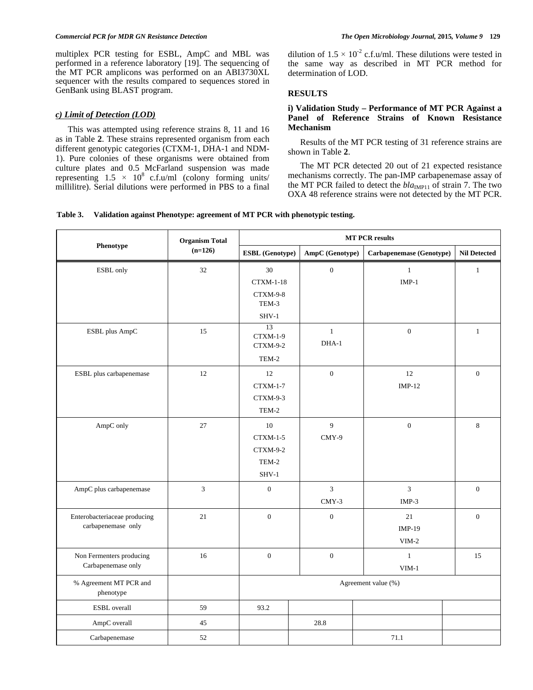multiplex PCR testing for ESBL, AmpC and MBL was performed in a reference laboratory [19]. The sequencing of the MT PCR amplicons was performed on an ABI3730XL sequencer with the results compared to sequences stored in GenBank using BLAST program.

# *c) Limit of Detection (LOD)*

 This was attempted using reference strains 8, 11 and 16 as in Table **2**. These strains represented organism from each different genotypic categories (CTXM-1, DHA-1 and NDM-1). Pure colonies of these organisms were obtained from culture plates and 0.5 McFarland suspension was made representing  $1.5 \times 10^8$  c.f.u/ml (colony forming units/ millilitre). Serial dilutions were performed in PBS to a final dilution of  $1.5 \times 10^{-2}$  c.f.u/ml. These dilutions were tested in the same way as described in MT PCR method for determination of LOD.

# **RESULTS**

# **i) Validation Study – Performance of MT PCR Against a Panel of Reference Strains of Known Resistance Mechanism**

 Results of the MT PCR testing of 31 reference strains are shown in Table **2**.

 The MT PCR detected 20 out of 21 expected resistance mechanisms correctly. The pan-IMP carbapenemase assay of the MT PCR failed to detect the  $bla_{\text{IMPI1}}$  of strain 7. The two OXA 48 reference strains were not detected by the MT PCR.

# **Table 3. Validation against Phenotype: agreement of MT PCR with phenotypic testing.**

|                              | <b>Organism Total</b><br>$(n=126)$ | <b>MT PCR results</b>  |                  |                          |                     |
|------------------------------|------------------------------------|------------------------|------------------|--------------------------|---------------------|
| Phenotype                    |                                    | <b>ESBL</b> (Genotype) | AmpC (Genotype)  | Carbapenemase (Genotype) | <b>Nil Detected</b> |
| ESBL only                    | 32                                 | 30                     | $\boldsymbol{0}$ | $\mathbf{1}$             | $\mathbf{1}$        |
|                              |                                    | <b>CTXM-1-18</b>       |                  | $IMP-1$                  |                     |
|                              |                                    | CTXM-9-8               |                  |                          |                     |
|                              |                                    | TEM-3                  |                  |                          |                     |
|                              |                                    | $SHV-1$<br>13          |                  |                          |                     |
| ESBL plus AmpC               | 15                                 | CTXM-1-9               | $1\,$            | $\overline{0}$           | $\mathbf{1}$        |
|                              |                                    | CTXM-9-2               | DHA-1            |                          |                     |
|                              |                                    | TEM-2                  |                  |                          |                     |
| ESBL plus carbapenemase      | 12                                 | 12                     | $\boldsymbol{0}$ | 12                       | $\mathbf{0}$        |
|                              |                                    | <b>CTXM-1-7</b>        |                  | $IMP-12$                 |                     |
|                              |                                    | CTXM-9-3               |                  |                          |                     |
|                              |                                    | TEM-2                  |                  |                          |                     |
| AmpC only                    | 27                                 | $10\,$                 | 9                | $\overline{0}$           | 8                   |
|                              |                                    | $CTXM-1-5$             | CMY-9            |                          |                     |
|                              |                                    | CTXM-9-2               |                  |                          |                     |
|                              |                                    | TEM-2                  |                  |                          |                     |
|                              |                                    | $SHV-1$                |                  |                          |                     |
| AmpC plus carbapenemase      | 3                                  | $\boldsymbol{0}$       | 3                | 3                        | $\boldsymbol{0}$    |
|                              |                                    |                        | $CMY-3$          | $IMP-3$                  |                     |
| Enterobacteriaceae producing | 21                                 | $\mathbf{0}$           | $\boldsymbol{0}$ | 21                       | $\overline{0}$      |
| carbapenemase only           |                                    |                        |                  | $IMP-19$                 |                     |
|                              |                                    |                        |                  | $VIM-2$                  |                     |
| Non Fermenters producing     | 16                                 | $\mathbf{0}$           | $\boldsymbol{0}$ | $1\,$                    | 15                  |
| Carbapenemase only           |                                    |                        |                  | $VIM-1$                  |                     |
| % Agreement MT PCR and       |                                    | Agreement value (%)    |                  |                          |                     |
| phenotype                    |                                    |                        |                  |                          |                     |
| <b>ESBL</b> overall          | 59                                 | 93.2                   |                  |                          |                     |
| AmpC overall                 | 45                                 |                        | 28.8             |                          |                     |
| Carbapenemase                | 52                                 |                        |                  | 71.1                     |                     |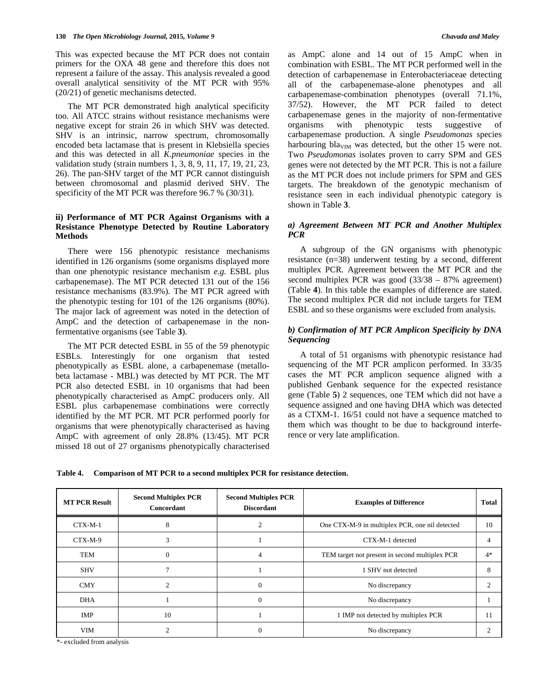This was expected because the MT PCR does not contain primers for the OXA 48 gene and therefore this does not represent a failure of the assay. This analysis revealed a good overall analytical sensitivity of the MT PCR with 95% (20/21) of genetic mechanisms detected.

 The MT PCR demonstrated high analytical specificity too. All ATCC strains without resistance mechanisms were negative except for strain 26 in which SHV was detected. SHV is an intrinsic, narrow spectrum, chromosomally encoded beta lactamase that is present in Klebsiella species and this was detected in all *K.pneumoniae* species in the validation study (strain numbers 1, 3, 8, 9, 11, 17, 19, 21, 23, 26). The pan-SHV target of the MT PCR cannot distinguish between chromosomal and plasmid derived SHV. The specificity of the MT PCR was therefore 96.7 % (30/31).

# **ii) Performance of MT PCR Against Organisms with a Resistance Phenotype Detected by Routine Laboratory Methods**

 There were 156 phenotypic resistance mechanisms identified in 126 organisms (some organisms displayed more than one phenotypic resistance mechanism *e.g.* ESBL plus carbapenemase). The MT PCR detected 131 out of the 156 resistance mechanisms (83.9%). The MT PCR agreed with the phenotypic testing for 101 of the 126 organisms (80%). The major lack of agreement was noted in the detection of AmpC and the detection of carbapenemase in the nonfermentative organisms (see Table **3**).

 The MT PCR detected ESBL in 55 of the 59 phenotypic ESBLs. Interestingly for one organism that tested phenotypically as ESBL alone, a carbapenemase (metallobeta lactamase - MBL) was detected by MT PCR. The MT PCR also detected ESBL in 10 organisms that had been phenotypically characterised as AmpC producers only. All ESBL plus carbapenemase combinations were correctly identified by the MT PCR. MT PCR performed poorly for organisms that were phenotypically characterised as having AmpC with agreement of only 28.8% (13/45). MT PCR missed 18 out of 27 organisms phenotypically characterised as AmpC alone and 14 out of 15 AmpC when in combination with ESBL. The MT PCR performed well in the detection of carbapenemase in Enterobacteriaceae detecting all of the carbapenemase-alone phenotypes and all carbapenemase-combination phenotypes (overall 71.1%, 37/52). However, the MT PCR failed to detect carbapenemase genes in the majority of non-fermentative organisms with phenotypic tests suggestive of carbapenemase production. A single *Pseudomonas* species harbouring bla<sub>VIM</sub> was detected, but the other 15 were not. Two *Pseudomonas* isolates proven to carry SPM and GES genes were not detected by the MT PCR. This is not a failure as the MT PCR does not include primers for SPM and GES targets. The breakdown of the genotypic mechanism of resistance seen in each individual phenotypic category is shown in Table **3**.

# *a) Agreement Between MT PCR and Another Multiplex PCR*

 A subgroup of the GN organisms with phenotypic resistance (n=38) underwent testing by a second, different multiplex PCR. Agreement between the MT PCR and the second multiplex PCR was good (33/38 – 87% agreement) (Table **4**). In this table the examples of difference are stated. The second multiplex PCR did not include targets for TEM ESBL and so these organisms were excluded from analysis.

# *b) Confirmation of MT PCR Amplicon Specificity by DNA Sequencing*

 A total of 51 organisms with phenotypic resistance had sequencing of the MT PCR amplicon performed. In 33/35 cases the MT PCR amplicon sequence aligned with a published Genbank sequence for the expected resistance gene (Table **5**) 2 sequences, one TEM which did not have a sequence assigned and one having DHA which was detected as a CTXM-1. 16/51 could not have a sequence matched to them which was thought to be due to background interference or very late amplification.

**Table 4. Comparison of MT PCR to a second multiplex PCR for resistance detection.** 

| <b>MT PCR Result</b> | <b>Second Multiplex PCR</b><br>Concordant | <b>Second Multiplex PCR</b><br><b>Discordant</b> | <b>Examples of Difference</b>                  | Total |
|----------------------|-------------------------------------------|--------------------------------------------------|------------------------------------------------|-------|
| $CTX-M-1$            | 8                                         |                                                  | One CTX-M-9 in multiplex PCR, one nil detected | 10    |
| CTX-M-9              | 3                                         |                                                  | CTX-M-1 detected                               | 4     |
| TEM                  | $\mathbf{0}$                              | 4                                                | TEM target not present in second multiplex PCR | $4*$  |
| <b>SHV</b>           | $\overline{7}$                            |                                                  | 1 SHV not detected                             | 8     |
| <b>CMY</b>           | $\mathcal{D}$                             | $\theta$                                         | No discrepancy                                 |       |
| <b>DHA</b>           |                                           | $\Omega$                                         | No discrepancy                                 |       |
| IMP                  | 10                                        |                                                  | 1 IMP not detected by multiplex PCR            | 11    |
| <b>VIM</b>           | $\mathcal{D}$                             | 0                                                | No discrepancy                                 | C     |

\*- excluded from analysis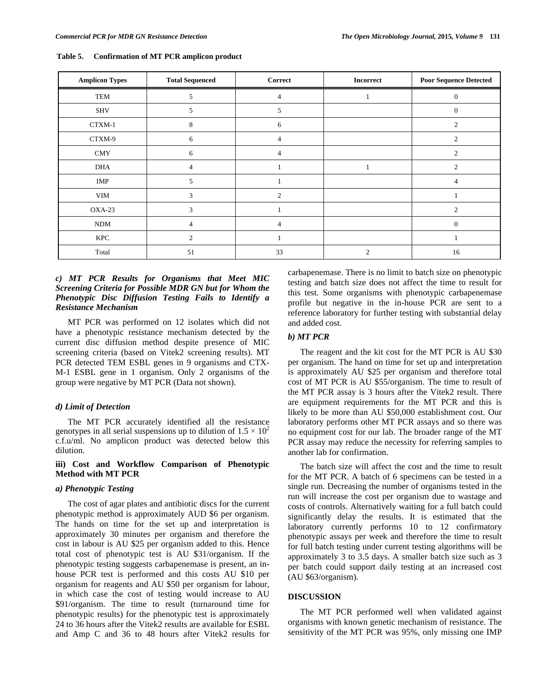| <b>Amplicon Types</b> | <b>Total Sequenced</b> | Correct        | <b>Incorrect</b> | <b>Poor Sequence Detected</b> |
|-----------------------|------------------------|----------------|------------------|-------------------------------|
| TEM                   | 5                      | 4              |                  | 0                             |
| <b>SHV</b>            | 5                      | 5              |                  | $\theta$                      |
| CTXM-1                | 8                      | 6              |                  | $\overline{c}$                |
| CTXM-9                | 6                      | 4              |                  | $\overline{c}$                |
| <b>CMY</b>            | 6                      | $\overline{4}$ |                  | $\overline{2}$                |
| <b>DHA</b>            | $\overline{4}$         |                |                  | $\overline{c}$                |
| IMP                   | 5                      |                |                  | 4                             |
| <b>VIM</b>            | 3                      | $\overline{2}$ |                  |                               |
| $OXA-23$              | 3                      |                |                  | $\mathfrak{D}$                |
| <b>NDM</b>            | $\overline{4}$         | $\overline{4}$ |                  | 0                             |
| KPC                   | $\overline{2}$         |                |                  |                               |
| Total                 | 51                     | 33             | $\overline{2}$   | 16                            |

**Table 5. Confirmation of MT PCR amplicon product** 

# *c) MT PCR Results for Organisms that Meet MIC Screening Criteria for Possible MDR GN but for Whom the Phenotypic Disc Diffusion Testing Fails to Identify a Resistance Mechanism*

 MT PCR was performed on 12 isolates which did not have a phenotypic resistance mechanism detected by the current disc diffusion method despite presence of MIC screening criteria (based on Vitek2 screening results). MT PCR detected TEM ESBL genes in 9 organisms and CTX-M-1 ESBL gene in 1 organism. Only 2 organisms of the group were negative by MT PCR (Data not shown).

# *d) Limit of Detection*

 The MT PCR accurately identified all the resistance genotypes in all serial suspensions up to dilution of  $1.5 \times 10^2$ c.f.u/ml. No amplicon product was detected below this dilution.

# **iii) Cost and Workflow Comparison of Phenotypic Method with MT PCR**

#### *a) Phenotypic Testing*

 The cost of agar plates and antibiotic discs for the current phenotypic method is approximately AUD \$6 per organism. The hands on time for the set up and interpretation is approximately 30 minutes per organism and therefore the cost in labour is AU \$25 per organism added to this. Hence total cost of phenotypic test is AU \$31/organism. If the phenotypic testing suggests carbapenemase is present, an inhouse PCR test is performed and this costs AU \$10 per organism for reagents and AU \$50 per organism for labour, in which case the cost of testing would increase to AU \$91/organism. The time to result (turnaround time for phenotypic results) for the phenotypic test is approximately 24 to 36 hours after the Vitek2 results are available for ESBL and Amp C and 36 to 48 hours after Vitek2 results for

carbapenemase. There is no limit to batch size on phenotypic testing and batch size does not affect the time to result for this test. Some organisms with phenotypic carbapenemase profile but negative in the in-house PCR are sent to a reference laboratory for further testing with substantial delay and added cost.

# *b) MT PCR*

 The reagent and the kit cost for the MT PCR is AU \$30 per organism. The hand on time for set up and interpretation is approximately AU \$25 per organism and therefore total cost of MT PCR is AU \$55/organism. The time to result of the MT PCR assay is 3 hours after the Vitek2 result. There are equipment requirements for the MT PCR and this is likely to be more than AU \$50,000 establishment cost. Our laboratory performs other MT PCR assays and so there was no equipment cost for our lab. The broader range of the MT PCR assay may reduce the necessity for referring samples to another lab for confirmation.

 The batch size will affect the cost and the time to result for the MT PCR. A batch of 6 specimens can be tested in a single run. Decreasing the number of organisms tested in the run will increase the cost per organism due to wastage and costs of controls. Alternatively waiting for a full batch could significantly delay the results. It is estimated that the laboratory currently performs 10 to 12 confirmatory phenotypic assays per week and therefore the time to result for full batch testing under current testing algorithms will be approximately 3 to 3.5 days. A smaller batch size such as 3 per batch could support daily testing at an increased cost (AU \$63/organism).

#### **DISCUSSION**

 The MT PCR performed well when validated against organisms with known genetic mechanism of resistance. The sensitivity of the MT PCR was 95%, only missing one IMP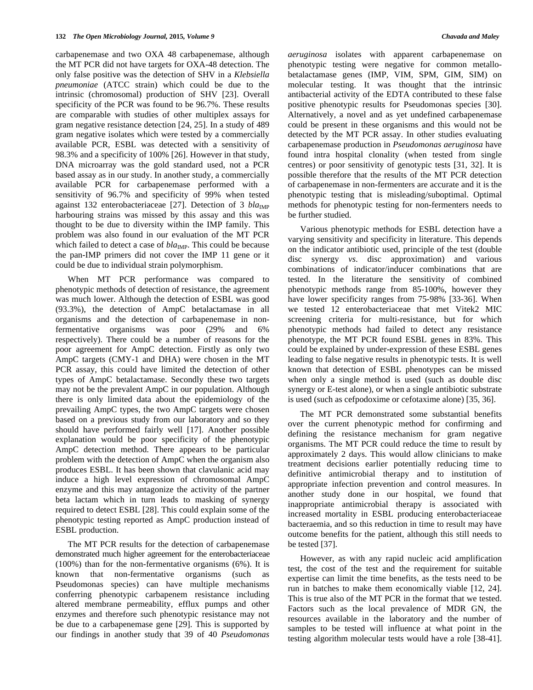carbapenemase and two OXA 48 carbapenemase, although the MT PCR did not have targets for OXA-48 detection. The only false positive was the detection of SHV in a *Klebsiella pneumoniae* (ATCC strain) which could be due to the intrinsic (chromosomal) production of SHV [23]. Overall specificity of the PCR was found to be 96.7%. These results are comparable with studies of other multiplex assays for gram negative resistance detection [24, 25]. In a study of 489 gram negative isolates which were tested by a commercially available PCR, ESBL was detected with a sensitivity of 98.3% and a specificity of 100% [26]. However in that study, DNA microarray was the gold standard used, not a PCR based assay as in our study. In another study, a commercially available PCR for carbapenemase performed with a sensitivity of 96.7% and specificity of 99% when tested against 132 enterobacteriaceae [27]. Detection of 3 *bla*<sub>IMP</sub> harbouring strains was missed by this assay and this was thought to be due to diversity within the IMP family. This problem was also found in our evaluation of the MT PCR which failed to detect a case of  $bla_{\text{IMP}}$ . This could be because the pan-IMP primers did not cover the IMP 11 gene or it could be due to individual strain polymorphism.

 When MT PCR performance was compared to phenotypic methods of detection of resistance, the agreement was much lower. Although the detection of ESBL was good (93.3%), the detection of AmpC betalactamase in all organisms and the detection of carbapenemase in nonfermentative organisms was poor (29% and 6% respectively). There could be a number of reasons for the poor agreement for AmpC detection. Firstly as only two AmpC targets (CMY-1 and DHA) were chosen in the MT PCR assay, this could have limited the detection of other types of AmpC betalactamase. Secondly these two targets may not be the prevalent AmpC in our population. Although there is only limited data about the epidemiology of the prevailing AmpC types, the two AmpC targets were chosen based on a previous study from our laboratory and so they should have performed fairly well [17]. Another possible explanation would be poor specificity of the phenotypic AmpC detection method. There appears to be particular problem with the detection of AmpC when the organism also produces ESBL. It has been shown that clavulanic acid may induce a high level expression of chromosomal AmpC enzyme and this may antagonize the activity of the partner beta lactam which in turn leads to masking of synergy required to detect ESBL [28]. This could explain some of the phenotypic testing reported as AmpC production instead of ESBL production.

 The MT PCR results for the detection of carbapenemase demonstrated much higher agreement for the enterobacteriaceae (100%) than for the non-fermentative organisms (6%). It is known that non-fermentative organisms (such as Pseudomonas species) can have multiple mechanisms conferring phenotypic carbapenem resistance including altered membrane permeability, efflux pumps and other enzymes and therefore such phenotypic resistance may not be due to a carbapenemase gene [29]. This is supported by our findings in another study that 39 of 40 *Pseudomonas* 

*aeruginosa* isolates with apparent carbapenemase on phenotypic testing were negative for common metallobetalactamase genes (IMP, VIM, SPM, GIM, SIM) on molecular testing. It was thought that the intrinsic antibacterial activity of the EDTA contributed to these false positive phenotypic results for Pseudomonas species [30]. Alternatively, a novel and as yet undefined carbapenemase could be present in these organisms and this would not be detected by the MT PCR assay. In other studies evaluating carbapenemase production in *Pseudomonas aeruginosa* have found intra hospital clonality (when tested from single centres) or poor sensitivity of genotypic tests [31, 32]. It is possible therefore that the results of the MT PCR detection of carbapenemase in non-fermenters are accurate and it is the phenotypic testing that is misleading/suboptimal. Optimal methods for phenotypic testing for non-fermenters needs to be further studied.

 Various phenotypic methods for ESBL detection have a varying sensitivity and specificity in literature. This depends on the indicator antibiotic used, principle of the test (double disc synergy *vs*. disc approximation) and various combinations of indicator/inducer combinations that are tested. In the literature the sensitivity of combined phenotypic methods range from 85-100%, however they have lower specificity ranges from 75-98% [33-36]. When we tested 12 enterobacteriaceae that met Vitek2 MIC screening criteria for multi-resistance, but for which phenotypic methods had failed to detect any resistance phenotype, the MT PCR found ESBL genes in 83%. This could be explained by under-expression of these ESBL genes leading to false negative results in phenotypic tests. It is well known that detection of ESBL phenotypes can be missed when only a single method is used (such as double disc synergy or E-test alone), or when a single antibiotic substrate is used (such as cefpodoxime or cefotaxime alone) [35, 36].

 The MT PCR demonstrated some substantial benefits over the current phenotypic method for confirming and defining the resistance mechanism for gram negative organisms. The MT PCR could reduce the time to result by approximately 2 days. This would allow clinicians to make treatment decisions earlier potentially reducing time to definitive antimicrobial therapy and to institution of appropriate infection prevention and control measures. In another study done in our hospital, we found that inappropriate antimicrobial therapy is associated with increased mortality in ESBL producing enterobacteriaceae bacteraemia, and so this reduction in time to result may have outcome benefits for the patient, although this still needs to be tested [37].

 However, as with any rapid nucleic acid amplification test, the cost of the test and the requirement for suitable expertise can limit the time benefits, as the tests need to be run in batches to make them economically viable [12, 24]. This is true also of the MT PCR in the format that we tested. Factors such as the local prevalence of MDR GN, the resources available in the laboratory and the number of samples to be tested will influence at what point in the testing algorithm molecular tests would have a role [38-41].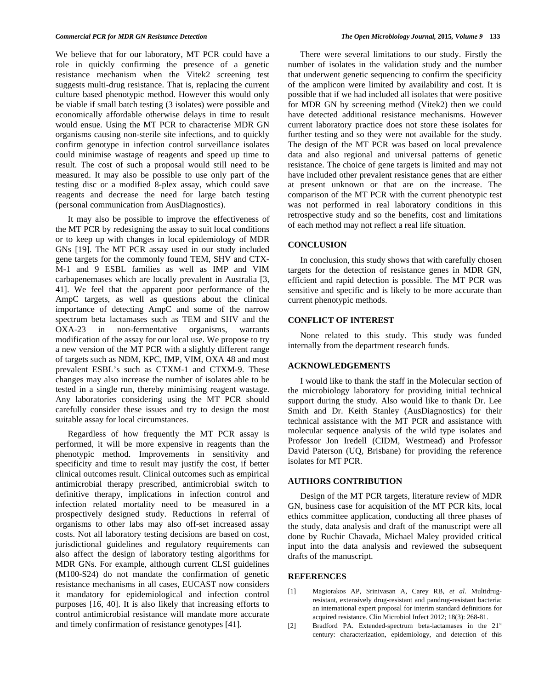We believe that for our laboratory, MT PCR could have a role in quickly confirming the presence of a genetic resistance mechanism when the Vitek2 screening test suggests multi-drug resistance. That is, replacing the current culture based phenotypic method. However this would only be viable if small batch testing (3 isolates) were possible and economically affordable otherwise delays in time to result would ensue. Using the MT PCR to characterise MDR GN organisms causing non-sterile site infections, and to quickly confirm genotype in infection control surveillance isolates could minimise wastage of reagents and speed up time to result. The cost of such a proposal would still need to be measured. It may also be possible to use only part of the testing disc or a modified 8-plex assay, which could save reagents and decrease the need for large batch testing (personal communication from AusDiagnostics).

 It may also be possible to improve the effectiveness of the MT PCR by redesigning the assay to suit local conditions or to keep up with changes in local epidemiology of MDR GNs [19]. The MT PCR assay used in our study included gene targets for the commonly found TEM, SHV and CTX-M-1 and 9 ESBL families as well as IMP and VIM carbapenemases which are locally prevalent in Australia [3, 41]. We feel that the apparent poor performance of the AmpC targets, as well as questions about the clinical importance of detecting AmpC and some of the narrow spectrum beta lactamases such as TEM and SHV and the OXA-23 in non-fermentative organisms, warrants modification of the assay for our local use. We propose to try a new version of the MT PCR with a slightly different range of targets such as NDM, KPC, IMP, VIM, OXA 48 and most prevalent ESBL's such as CTXM-1 and CTXM-9. These changes may also increase the number of isolates able to be tested in a single run, thereby minimising reagent wastage. Any laboratories considering using the MT PCR should carefully consider these issues and try to design the most suitable assay for local circumstances.

 Regardless of how frequently the MT PCR assay is performed, it will be more expensive in reagents than the phenotypic method. Improvements in sensitivity and specificity and time to result may justify the cost, if better clinical outcomes result. Clinical outcomes such as empirical antimicrobial therapy prescribed, antimicrobial switch to definitive therapy, implications in infection control and infection related mortality need to be measured in a prospectively designed study. Reductions in referral of organisms to other labs may also off-set increased assay costs. Not all laboratory testing decisions are based on cost, jurisdictional guidelines and regulatory requirements can also affect the design of laboratory testing algorithms for MDR GNs. For example, although current CLSI guidelines (M100-S24) do not mandate the confirmation of genetic resistance mechanisms in all cases, EUCAST now considers it mandatory for epidemiological and infection control purposes [16, 40]. It is also likely that increasing efforts to control antimicrobial resistance will mandate more accurate and timely confirmation of resistance genotypes [41].

 There were several limitations to our study. Firstly the number of isolates in the validation study and the number that underwent genetic sequencing to confirm the specificity of the amplicon were limited by availability and cost. It is possible that if we had included all isolates that were positive for MDR GN by screening method (Vitek2) then we could have detected additional resistance mechanisms. However current laboratory practice does not store these isolates for further testing and so they were not available for the study. The design of the MT PCR was based on local prevalence data and also regional and universal patterns of genetic resistance. The choice of gene targets is limited and may not have included other prevalent resistance genes that are either at present unknown or that are on the increase. The comparison of the MT PCR with the current phenotypic test was not performed in real laboratory conditions in this retrospective study and so the benefits, cost and limitations of each method may not reflect a real life situation.

#### **CONCLUSION**

 In conclusion, this study shows that with carefully chosen targets for the detection of resistance genes in MDR GN, efficient and rapid detection is possible. The MT PCR was sensitive and specific and is likely to be more accurate than current phenotypic methods.

# **CONFLICT OF INTEREST**

 None related to this study. This study was funded internally from the department research funds.

# **ACKNOWLEDGEMENTS**

 I would like to thank the staff in the Molecular section of the microbiology laboratory for providing initial technical support during the study. Also would like to thank Dr. Lee Smith and Dr. Keith Stanley (AusDiagnostics) for their technical assistance with the MT PCR and assistance with molecular sequence analysis of the wild type isolates and Professor Jon Iredell (CIDM, Westmead) and Professor David Paterson (UQ, Brisbane) for providing the reference isolates for MT PCR.

#### **AUTHORS CONTRIBUTION**

 Design of the MT PCR targets, literature review of MDR GN, business case for acquisition of the MT PCR kits, local ethics committee application, conducting all three phases of the study, data analysis and draft of the manuscript were all done by Ruchir Chavada, Michael Maley provided critical input into the data analysis and reviewed the subsequent drafts of the manuscript.

## **REFERENCES**

- [1] Magiorakos AP, Srinivasan A, Carey RB, *et al*. Multidrugresistant, extensively drug-resistant and pandrug-resistant bacteria: an international expert proposal for interim standard definitions for acquired resistance*.* Clin Microbiol Infect 2012; 18(3): 268-81.
- [2] Bradford PA. Extended-spectrum beta-lactamases in the 21<sup>st</sup> century: characterization, epidemiology, and detection of this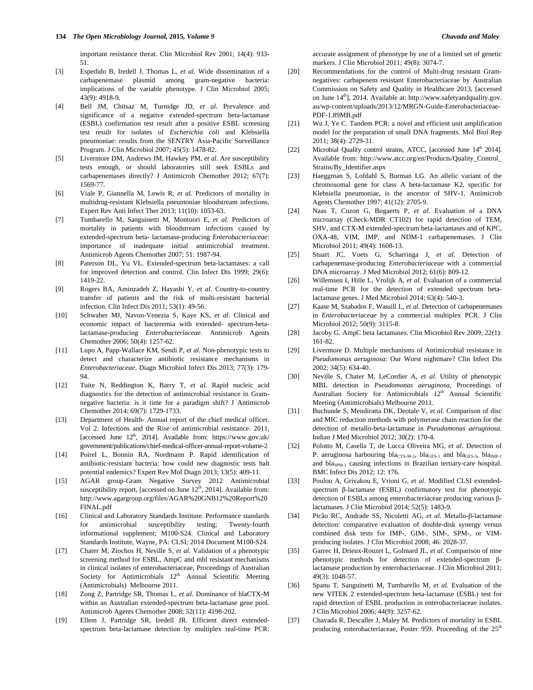important resistance threat. Clin Microbiol Rev 2001; 14(4): 933- 51.

- [3] Espedido B, Iredell J, Thomas L, *et al.* Wide dissemination of a carbapenemase plasmid among gram-negative bacteria: implications of the variable phenotype*.* J Clin Microbiol 2005; 43(9): 4918-9.
- [4] Bell JM, Chitsaz M, Turnidge JD, *et al*. Prevalence and significance of a negative extended-spectrum beta-lactamase (ESBL) confirmation test result after a positive ESBL screening test result for isolates of *Escherichia coli* and Klebsiella pneumoniae: results from the SENTRY Asia-Pacific Surveillance Program. J Clin Microbiol 2007; 45(5): 1478-82.
- [5] Livermore DM, Andrews JM, Hawkey PM, *et al.* Are susceptibility tests enough, or should laboratories still seek ESBLs and carbapenemases directly? J Antimicrob Chemother 2012; 67(7): 1569-77.
- [6] Viale P, Giannella M, Lewis R, *et al*. Predictors of mortality in multidrug-resistant Klebsiella pneumoniae bloodstream infections. Expert Rev Anti Infect Ther 2013; 11(10): 1053-63.
- [7] Tumbarello M, Sanguinetti M, Montuori E, *et al.* Predictors of mortality in patients with bloodstream infections caused by extended-spectrum beta- lactamase-producing *Enterobacteriaceae*: importance of inadequate initial antimicrobial treatment. Antimicrob Agents Chemother 2007; 51: 1987-94.
- [8] Paterson DL, Yu VL. Extended-spectrum beta-lactamases: a call for improved detection and control. Clin Infect Dis 1999; 29(6): 1419-22.
- [9] Rogers BA, Aminzadeh Z, Hayashi Y, *et al*. Country-to-country transfer of patients and the risk of multi-resistant bacterial infection. Clin Infect Dis 2011; 53(1): 49-56.
- [10] Schwaber MJ, Navon-Venezia S, Kaye KS, *et al*. Clinical and economic impact of bacteremia with extended- spectrum-betalactamase-producing *Enterobacteriaceae*. Antimicrob Agents Chemother 2006; 50(4): 1257-62.
- [11] Lupo A, Papp-Wallace KM, Sendi P, *et al.* Non-phenotypic tests to detect and characterize antibiotic resistance mechanisms in *Enterobacteriaceae*. Diagn Microbiol Infect Dis 2013; 77(3): 179- 94.
- [12] Tuite N, Reddington K, Barry T, *et al.* Rapid nucleic acid diagnostics for the detection of antimicrobial resistance in Gramnegative bacteria: is it time for a paradigm shift? J Antimicrob Chemother 2014; 69(7): 1729-1733.
- [13] Department of Health- Annual report of the chief medical officer. Vol 2. Infections and the Rise of antimicrobial resistance. 2011, [accessed June  $12<sup>th</sup>$ , 2014]. Available from: https://www.gov.uk/ government/publications/chief-medical-officer-annual-report-volume-2
- [14] Poirel L, Bonnin RA, Nordmann P. Rapid identification of antibiotic-resistant bacteria: how could new diagnostic tests halt potential endemics? Expert Rev Mol Diagn 2013; 13(5): 409-11.
- [15] AGAR group-Gram Negative Survey 2012 Antimicrobial susceptibility report, [accessed on June  $12<sup>th</sup>$ , 2014]. Available from: http://www.agargroup.org/files/AGAR%20GNB12%20Report%20 FINAL.pdf
- [16] Clinical and Laboratory Standards Institute. Performance standards for antimicrobial susceptibility testing; Twenty-fourth informational supplement; M100-S24. Clinical and Laboratory Standards Institute, Wayne, PA: CLSI; 2014 Document M100-S24.
- [17] Chater M, Ziochos H, Neville S, *et al.* Validation of a phenotypic screening method for ESBL, AmpC and mbl resistant mechanisms in clinical isolates of enterobacteriaceae, Proceedings of Australian Society for Antimicrobials  $12<sup>th</sup>$  Annual Scientific Meeting (Antimicrobials) Melbourne 2011.
- [18] Zong Z, Partridge SR, Thomas L, *et al.* Dominance of blaCTX-M within an Australian extended-spectrum beta-lactamase gene pool. Antimicrob Agents Chemother 2008; 52(11): 4198-202.
- [19] Ellem J, Partridge SR, Iredell JR. Efficient direct extendedspectrum beta-lactamase detection by multiplex real-time PCR:

accurate assignment of phenotype by use of a limited set of genetic markers. J Clin Microbiol 2011; 49(8): 3074-7.

- [20] Recommendations for the control of Multi-drug resistant Gramnegatives: carbapenem resistant Enterobacteriaceae by Australian Commission on Safety and Quality in Healthcare 2013, [accessed on June  $14<sup>th</sup>$ ], 2014. Available at: http://www.safetyandquality.gov. au/wp-content/uploads/2013/12/MRGN-Guide-Enterobacteriaceae-PDF-1.89MB.pdf
- [21] Wu J, Ye C. Tandem PCR: a novel and efficient unit amplification model for the preparation of small DNA fragments. Mol Biol Rep 2011; 38(4): 2729-31.
- [22] Microbial Quality control strains, ATCC, [accessed June  $14<sup>th</sup>$  2014]. Available from: http://www.atcc.org/en/Products/Quality\_Control\_ Strains/By\_Identifier.aspx
- [23] Haeggman S, Lofdahl S, Burman LG. An allelic variant of the chromosomal gene for class A beta-lactamase K2, specific for Klebsiella pneumoniae, is the ancestor of SHV-1. Antimicrob Agents Chemother 1997; 41(12): 2705-9.
- [24] Naas T, Cuzon G, Bogaerts P, *et al.* Evaluation of a DNA microarray (Check-MDR CT102) for rapid detection of TEM, SHV, and CTX-M extended-spectrum beta-lactamases and of KPC, OXA-48, VIM, IMP, and NDM-1 carbapenemases. J Clin Microbiol 2011; 49(4): 1608-13.
- [25] Stuart JC, Voets G, Scharringa J, *et al.* Detection of carbapenemase-producing *Enterobacteriaceae* with a commercial DNA microarray. J Med Microbiol 2012; 61(6): 809-12.
- [26] Willemsen I, Hille L, Vrolijk A, *et al.* Evaluation of a commercial real-time PCR for the detection of extended spectrum betalactamase genes. J Med Microbiol 2014; 63(4): 540-3.
- [27] Kaase M, Szabados F, Wassill L, *et al*. Detection of carbapenemases in *Enterobacteriaceae* by a commercial multiplex PCR. J Clin Microbiol 2012; 50(9): 3115-8.
- [28] Jacoby G. AmpC beta lactamases. Clin Microbiol Rev 2009; 22(1): 161-82.
- [29] Livermore D. Multiple mechanisms of Antimicrobial resistance in *Pseudomonas aeruginosa*: Our Worst nightmare? Clin Infect Dis 2002; 34(5): 634-40.
- [30] Neville S, Chater M, LeCordier A, *et al*. Utility of phenotypic MBL detection in *Pseudomonas aeruginosa*, Proceedings of Australian Society for Antimicrobials 12<sup>th</sup> Annual Scientific Meeting (Antimicrobials) Melbourne 2011.
- [31] Buchunde S, Mendiratta DK, Deotale V, *et al*. Comparison of disc and MIC reduction methods with polymerase chain reaction for the detection of metallo-beta-lactamase in *Pseudomonas aeruginosa*. Indian J Med Microbiol 2012; 30(2): 170-4.
- [32] Polotto M, Casella T, de Lucca Oliveira MG, *et al*. Detection of P. aeruginosa harbouring bla<sub>CTX-M-2</sub>, bla<sub>GES-1</sub> and bla<sub>GES-5</sub>, bla<sub>IMP-1</sub> and bla<sub>SPM-1</sub> causing infections in Brazilian tertiary-care hospital. BMC Infect Dis 2012; 12: 176.
- [33] Poulou A, Grivakou E, Vrioni G, *et al*. Modified CLSI extendedspectrum  $\beta$ -lactamase (ESBL) confirmatory test for phenotypic detection of ESBLs among enterobacteriaceae producing various  $\beta$ lactamases. J Clin Microbiol 2014; 52(5): 1483-9.
- [34] Picão RC, Andrade SS, Nicoletti AG, et al. Metallo- $\beta$ -lactamase detection: comparative evaluation of double-disk synergy versus combined disk tests for IMP-, GIM-, SIM-, SPM-, or VIMproducing isolates. J Clin Microbiol 2008; 46: 2028-37.
- [35] Garrec H, Drieux-Rouzet L, Golmard JL, *et al.* Comparison of nine phenotypic methods for detection of extended-spectrum  $\beta$ lactamase production by enterobacteriaceae. J Clin Microbiol 2011; 49(3): 1048-57.
- [36] Spanu T, Sanguinetti M, Tumbarello M, *et al.* Evaluation of the new VITEK 2 extended-spectrum beta-lactamase (ESBL) test for rapid detection of ESBL production in enterobacteriaceae isolates. J Clin Microbiol 2006; 44(9): 3257-62.
- [37] Chavada R, Descaller J, Maley M. Predictors of mortality in ESBL producing enterobacteriaceae, Poster 959. Proceeding of the 25<sup>th</sup>